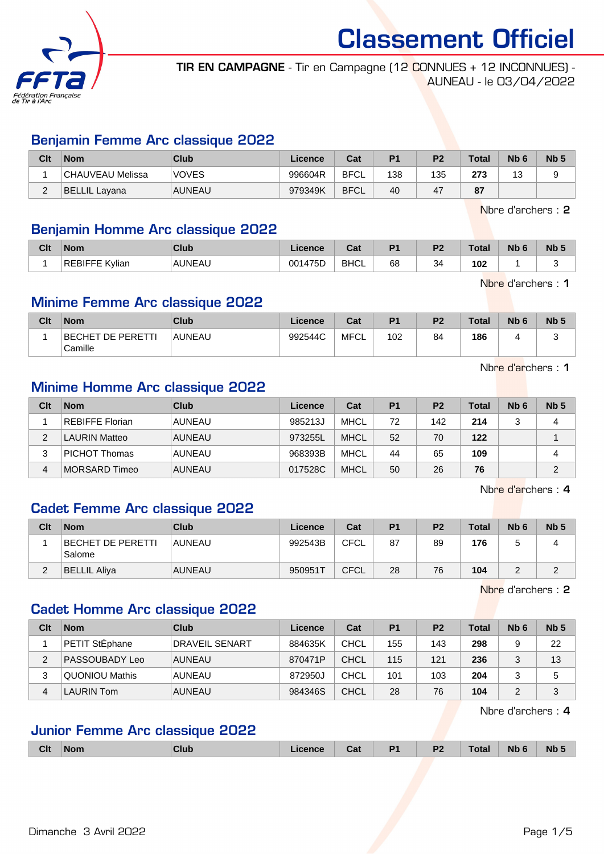

TIR EN CAMPAGNE - Tir en Campagne (12 CONNUES + 12 INCONNUES) - AUNEAU - le 03/04/2022

#### Benjamin Femme Arc classique 2022

| Clt | <b>Nom</b>        | Club          | Licence | Cat         | P <sub>1</sub> | P <sub>2</sub> | <b>Total</b> | N <sub>b</sub> <sub>6</sub> | Nb <sub>3</sub> |
|-----|-------------------|---------------|---------|-------------|----------------|----------------|--------------|-----------------------------|-----------------|
|     | !CHAUVEAU Melissa | <b>VOVES</b>  | 996604R | BFCL        | 138            | 135            | 273          | <u>"</u><br>J               |                 |
| -   | BELLIL Lavana     | <b>AUNEAU</b> | 979349K | <b>BFCL</b> | 40             | 47             | 87           |                             |                 |

Nbre d'archers : 2

#### Benjamin Homme Arc classique 2022

| Clt | <b>Nom</b>     | Club          | .icence | $P_{AB}$<br>val | D <sup>4</sup> | פם       | Total | Nb ( | <b>Nb</b> |
|-----|----------------|---------------|---------|-----------------|----------------|----------|-------|------|-----------|
|     | REBIFFE Kylian | <b>AUNEAL</b> | 001475D | <b>BHCL</b>     | 68             | n,<br>34 | 102   |      |           |

Nbre d'archers : 1

#### Minime Femme Arc classique 2022

| Clt | <b>Nom</b>                   | Club   | Licence | Cat  | D <sub>1</sub> | P <sub>2</sub> | <b>Total</b> | N <sub>b</sub> 6 | Nb ! |
|-----|------------------------------|--------|---------|------|----------------|----------------|--------------|------------------|------|
|     | BECHET DE PERETTI<br>Camille | AUNEAU | 992544C | MFCL | 102            | 84             | 186          |                  |      |

Nbre d'archers : 1

#### Minime Homme Arc classique 2022

| Clt | <b>Nom</b>             | Club          | Licence | Cat         | P <sub>1</sub> | P <sub>2</sub> | <b>Total</b> | Nb <sub>6</sub> | Nb <sub>5</sub> |
|-----|------------------------|---------------|---------|-------------|----------------|----------------|--------------|-----------------|-----------------|
|     | <b>REBIFFE Florian</b> | AUNEAU        | 985213J | <b>MHCL</b> | 72             | 142            | 214          | ◠               | 4               |
| ◠   | <b>LAURIN Matteo</b>   | <b>AUNEAU</b> | 973255L | <b>MHCL</b> | 52             | 70             | 122          |                 |                 |
| 3   | <b>PICHOT Thomas</b>   | AUNEAU        | 968393B | <b>MHCL</b> | 44             | 65             | 109          |                 | 4               |
| 4   | MORSARD Timeo          | <b>AUNEAU</b> | 017528C | <b>MHCL</b> | 50             | 26             | 76           |                 | 2               |

Nbre d'archers : 4

## Cadet Femme Arc classique 2022

| Clt    | <b>Nom</b>                  | Club          | <b>Licence</b> | Cat         | P <sub>1</sub> | P <sub>2</sub> | <b>Total</b> | N <sub>b</sub> 6 | Nb <sub>5</sub> |
|--------|-----------------------------|---------------|----------------|-------------|----------------|----------------|--------------|------------------|-----------------|
|        | BECHET DE PERETTI<br>Salome | <b>AUNEAU</b> | 992543B        | <b>CFCL</b> | 87             | 89             | 176          |                  |                 |
| ົ<br>∠ | <b>BELLIL Aliva</b>         | <b>AUNEAU</b> | 9509511        | <b>CFCL</b> | 28             | 76             | 104          |                  |                 |

Nbre d'archers : 2

## Cadet Homme Arc classique 2022

| Clt | <b>Nom</b>        | <b>Club</b>    | Licence | Cat         | <b>P1</b> | P <sub>2</sub> | Total | N <sub>b</sub> 6 | Nb <sub>5</sub> |
|-----|-------------------|----------------|---------|-------------|-----------|----------------|-------|------------------|-----------------|
|     | PETIT StEphane    | DRAVEIL SENART | 884635K | CHCL        | 155       | 143            | 298   |                  | 22              |
| 2   | PASSOUBADY Leo    | AUNEAU         | 870471P | <b>CHCL</b> | 115       | 121            | 236   |                  | 13              |
| 3   | QUONIOU Mathis    | AUNEAU         | 872950J | CHCL        | 101       | 103            | 204   |                  | 5               |
| 4   | <b>LAURIN Tom</b> | AUNEAU         | 984346S | <b>CHCL</b> | 28        | 76             | 104   |                  | 3               |

Nbre d'archers : 4

#### Junior Femme Arc classique 2022

|  | <b>Nb</b><br><b>Nb</b><br>D <sub>4</sub><br>P.<br>Clt<br>Club<br>⊺otal<br><b>Nom</b><br>icence<br>Cat<br>. . |
|--|--------------------------------------------------------------------------------------------------------------|
|--|--------------------------------------------------------------------------------------------------------------|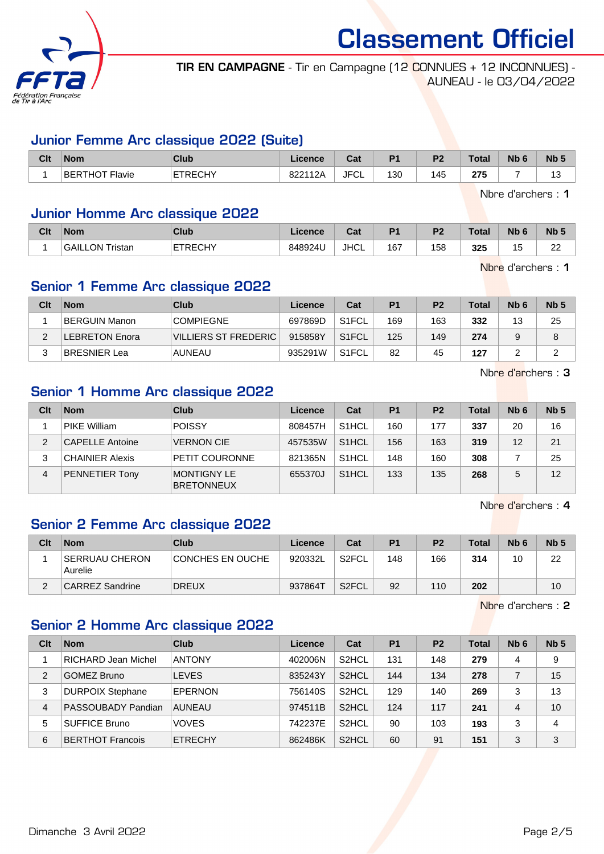

TIR EN CAMPAGNE - Tir en Campagne (12 CONNUES + 12 INCONNUES) - AUNEAU - le 03/04/2022

#### Junior Femme Arc classique 2022 (Suite)

| Clt | <b>Nom</b>     | Club           | Licence | <b>Date</b><br>ual | D <sub>1</sub> | D <sub>2</sub> | <b>Total</b> | <b>N<sub>b</sub></b> | Nb <sub>5</sub> |
|-----|----------------|----------------|---------|--------------------|----------------|----------------|--------------|----------------------|-----------------|
|     | BERTHOT Flavie | <b>ETRECHY</b> | 822112A | <b>JFCL</b>        | 130            | 145            | 275          |                      | ں ،             |

Nbre d'archers : 1

#### Junior Homme Arc classique 2022

| Clt | <b>Nom</b>             | Club           | Licence | $\sim$<br>ual | D.  | P <sub>2</sub> | <b>Total</b> | Nb             | <b>Nb</b>           |
|-----|------------------------|----------------|---------|---------------|-----|----------------|--------------|----------------|---------------------|
|     | <b>GAILLON Tristan</b> | <b>ETRECHY</b> | 848924U | <b>JHCL</b>   | 167 | 158            | 325          | $\overline{A}$ | $\sim$<br><u>__</u> |

Nbre d'archers : 1

#### Senior 1 Femme Arc classique 2022

| Clt | <b>Nom</b>     | Club                 | Licence | Cat                | P1  | P <sub>2</sub> | <b>Total</b> | N <sub>b</sub> 6 | Nb <sub>5</sub> |
|-----|----------------|----------------------|---------|--------------------|-----|----------------|--------------|------------------|-----------------|
|     | BERGUIN Manon  | <b>COMPIEGNE</b>     | 697869D | S <sub>1</sub> FCL | 169 | 163            | 332          | 13               | 25              |
|     | LEBRETON Enora | VILLIERS ST FREDERIC | 915858Y | S <sub>1</sub> FCL | 125 | 149            | 274          | 9                | 8               |
|     | BRESNIER Lea   | AUNEAU               | 935291W | S <sub>1</sub> FCL | 82  | 45             | 127          |                  | ▃               |

Nbre d'archers : 3

#### Senior 1 Homme Arc classique 2022

| Clt            | <b>Nom</b>             | Club                             | Licence | Cat                | P <sub>1</sub> | P <sub>2</sub> | <b>Total</b> | Nb <sub>6</sub> | Nb <sub>5</sub> |
|----------------|------------------------|----------------------------------|---------|--------------------|----------------|----------------|--------------|-----------------|-----------------|
|                | PIKE William           | <b>POISSY</b>                    | 808457H | S <sub>1</sub> HCL | 160            | 177            | 337          | 20              | 16              |
| $\overline{2}$ | <b>CAPELLE Antoine</b> | <b>VERNON CIE</b>                | 457535W | S <sub>1</sub> HCL | 156            | 163            | 319          | 12              | 21              |
| 3              | <b>CHAINIER Alexis</b> | PETIT COURONNE                   | 821365N | S <sub>1</sub> HCL | 148            | 160            | 308          |                 | 25              |
| 4              | PENNETIER Tony         | MONTIGNY LE<br><b>BRETONNEUX</b> | 655370J | S <sub>1</sub> HCL | 133            | 135            | 268          | 5               | 12              |

Nbre d'archers : 4

## Senior 2 Femme Arc classique 2022

| Clt | <b>Nom</b>                       | Club             | Licence | Cat                | P <sub>1</sub> | P <sub>2</sub> | Total | N <sub>b</sub> 6 | Nb <sub>5</sub> |
|-----|----------------------------------|------------------|---------|--------------------|----------------|----------------|-------|------------------|-----------------|
|     | <b>SERRUAU CHERON</b><br>Aurelie | CONCHES EN OUCHE | 920332L | S2FCL              | 148            | 166            | 314   | 10               | 22              |
|     | CARREZ Sandrine                  | <b>DREUX</b>     | 937864T | S <sub>2</sub> FCL | 92             | 110            | 202   |                  | 10              |

Nbre d'archers : 2

## Senior 2 Homme Arc classique 2022

| Clt | <b>Nom</b>              | Club           | Licence | Cat                | P <sub>1</sub> | P <sub>2</sub> | Total | Nb <sub>6</sub> | Nb <sub>5</sub> |
|-----|-------------------------|----------------|---------|--------------------|----------------|----------------|-------|-----------------|-----------------|
|     | RICHARD Jean Michel     | <b>ANTONY</b>  | 402006N | S <sub>2</sub> HCL | 131            | 148            | 279   | 4               | 9               |
| 2   | <b>GOMEZ Bruno</b>      | <b>LEVES</b>   | 835243Y | S <sub>2</sub> HCL | 144            | 134            | 278   |                 | 15              |
| 3   | <b>DURPOIX Stephane</b> | EPERNON        | 756140S | S <sub>2</sub> HCL | 129            | 140            | 269   | 3               | 13              |
| 4   | PASSOUBADY Pandian      | <b>AUNEAU</b>  | 974511B | S <sub>2</sub> HCL | 124            | 117            | 241   | 4               | 10              |
| 5   | <b>SUFFICE Bruno</b>    | <b>VOVES</b>   | 742237E | S <sub>2</sub> HCL | 90             | 103            | 193   | 3               | 4               |
| 6   | <b>BERTHOT Francois</b> | <b>ETRECHY</b> | 862486K | S <sub>2</sub> HCL | 60             | 91             | 151   | 3               | 3               |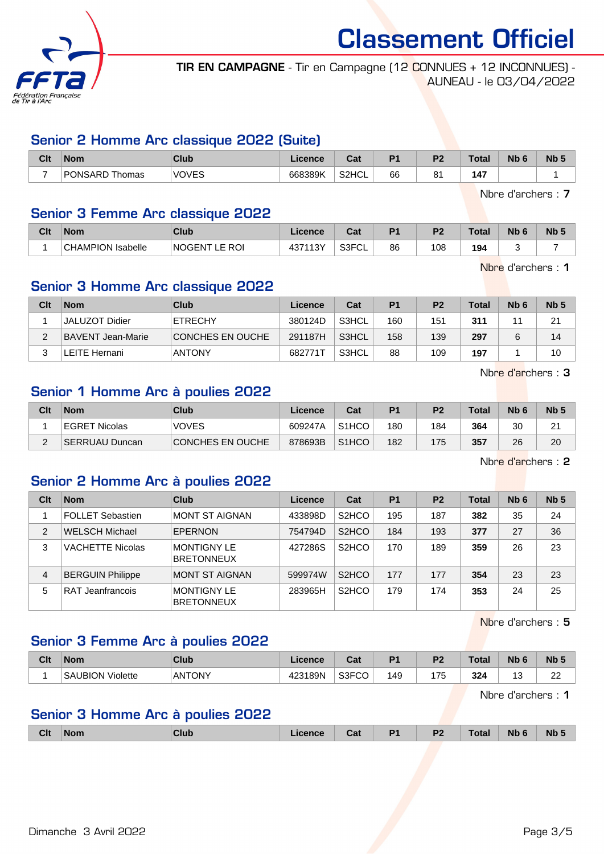

TIR EN CAMPAGNE - Tir en Campagne (12 CONNUES + 12 INCONNUES) - AUNEAU - le 03/04/2022

#### Senior 2 Homme Arc classique 2022 (Suite)

| Clt | <b>Nom</b>     | Club                | $\blacksquare$ cence | . הי<br>ua | D4 | D0      | Total | <b>Nb</b> | <b>Nb</b> |
|-----|----------------|---------------------|----------------------|------------|----|---------|-------|-----------|-----------|
| -   | PONSARD Thomas | <b>VOVES</b><br>៴∟៶ | 668389K              | S2HCL      | 66 | o,<br>o | 47ء   |           |           |

Nbre d'archers : 7

#### Senior 3 Femme Arc classique 2022

| Clt | Nom                      | <b>Club</b>             | Licence             | $R_{\rm{eff}}$<br>uai | D. | D <sub>2</sub> | Total | Nb 6 | <b>N<sub>b</sub></b> |
|-----|--------------------------|-------------------------|---------------------|-----------------------|----|----------------|-------|------|----------------------|
|     | <b>CHAMPION Isabelle</b> | <b>NOGENT</b><br>E ROI. | 13Y،<br>1071<br>407 | S3FCL                 | 86 | 108            | 194   |      |                      |

Nbre d'archers : 1

#### Senior 3 Homme Arc classique 2022

| Clt | <b>Nom</b>        | Club             | Licence | Cat   | P <sub>1</sub> | P <sub>2</sub> | <b>Total</b> | N <sub>b</sub> 6 | Nb <sub>5</sub> |
|-----|-------------------|------------------|---------|-------|----------------|----------------|--------------|------------------|-----------------|
|     | JALUZOT Didier    | ETRECHY          | 380124D | S3HCL | 160            | 151            | 311          | 4,               | 21              |
| ◠   | BAVENT Jean-Marie | CONCHES EN OUCHE | 291187H | S3HCL | 158            | 139            | 297          |                  | 14              |
|     | ∟EITE Hernani     | <b>ANTONY</b>    | 682771  | S3HCL | 88             | 109            | 197          |                  | 10              |

Nbre d'archers : 3

#### Senior 1 Homme Arc à poulies 2022

| Clt | <b>Nom</b>     | Club                    | Licence | Cat                | D <sub>1</sub> | P <sub>2</sub> | Total | Nb <sub>6</sub> | N <sub>b</sub> <sub>5</sub> |
|-----|----------------|-------------------------|---------|--------------------|----------------|----------------|-------|-----------------|-----------------------------|
|     | EGRET Nicolas  | <b>VOVES</b>            | 609247A | S <sub>1</sub> HCO | 180            | 184            | 364   | 30              | າາ<br><u>_</u>              |
| -   | SERRUAU Duncan | <b>CONCHES EN OUCHE</b> | 878693B | S <sub>1</sub> HCO | 182            | 175            | 357   | 26              | 20                          |

Nbre d'archers : 2

## Senior 2 Homme Arc à poulies 2022

| Clt            | <b>Nom</b>              | Club                                    | Licence | Cat                             | P <sub>1</sub> | P <sub>2</sub> | <b>Total</b> | Nb <sub>6</sub> | Nb <sub>5</sub> |
|----------------|-------------------------|-----------------------------------------|---------|---------------------------------|----------------|----------------|--------------|-----------------|-----------------|
|                | FOLLET Sebastien        | <b>MONT ST AIGNAN</b>                   | 433898D | S <sub>2</sub> HCO              | 195            | 187            | 382          | 35              | 24              |
| $\overline{2}$ | <b>WELSCH Michael</b>   | <b>EPERNON</b>                          | 754794D | S <sub>2</sub> HCO              | 184            | 193            | 377          | 27              | 36              |
| 3              | <b>VACHETTE Nicolas</b> | <b>MONTIGNY LE</b><br><b>BRETONNEUX</b> | 427286S | S <sub>2</sub> H <sub>C</sub> O | 170            | 189            | 359          | 26              | 23              |
| 4              | <b>BERGUIN Philippe</b> | <b>MONT ST AIGNAN</b>                   | 599974W | S <sub>2</sub> H <sub>C</sub> O | 177            | 177            | 354          | 23              | 23              |
| 5              | RAT Jeanfrancois        | <b>MONTIGNY LE</b><br><b>BRETONNEUX</b> | 283965H | S <sub>2</sub> H <sub>C</sub> O | 179            | 174            | 353          | 24              | 25              |

Nbre d'archers : 5

## Senior 3 Femme Arc à poulies 2022

| Clt | <b>Nom</b>       | Club   | <b>Licence</b>  | $R_{\rm{min}}$<br>val | D <sub>1</sub> | D.<br>. . | <b>Total</b> | Nb<br>- - | N <sub>b</sub>  |
|-----|------------------|--------|-----------------|-----------------------|----------------|-----------|--------------|-----------|-----------------|
|     | SAUBION Violette | ANTONY | 123189N<br>425. | S3FCO                 | 49             | 175       | 324          | ີ         | nn<br><u>__</u> |

Nbre d'archers : 1

## Senior 3 Homme Arc à poulies 2022

| <b>Clt</b><br>D4<br>D.<br><b>Nb</b><br>N <sub>b</sub><br>Club<br>'otal<br><b>Nom</b><br>cence<br><b>TABLE</b><br>val<br>. .<br>- - |
|------------------------------------------------------------------------------------------------------------------------------------|
|------------------------------------------------------------------------------------------------------------------------------------|

Dimanche 3 Avril 2022 **Page 3/5**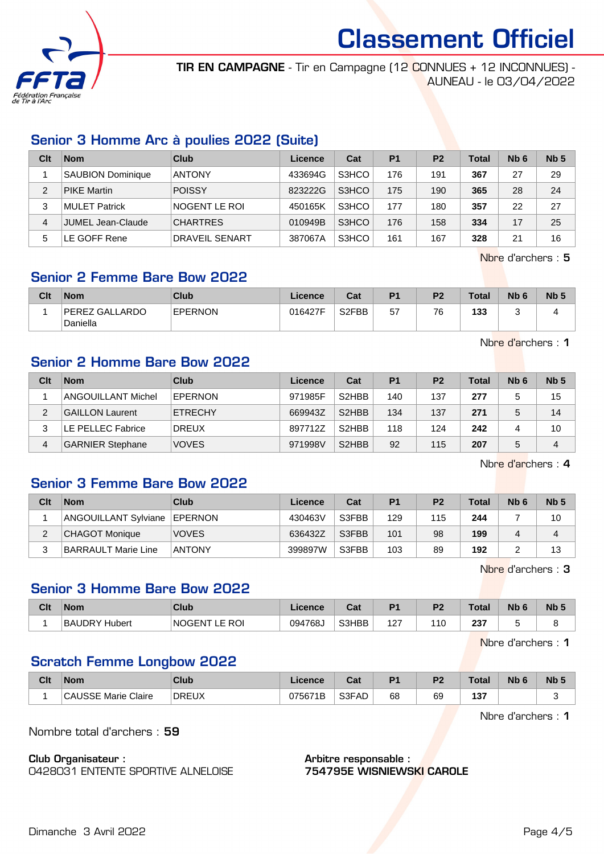

TIR EN CAMPAGNE - Tir en Campagne (12 CONNUES + 12 INCONNUES) - AUNEAU - le 03/04/2022

## Senior 3 Homme Arc à poulies 2022 (Suite)

| Clt | <b>Nom</b>               | Club            | Licence | Cat   | P <sub>1</sub> | P <sub>2</sub> | <b>Total</b> | N <sub>b</sub> 6 | Nb <sub>5</sub> |
|-----|--------------------------|-----------------|---------|-------|----------------|----------------|--------------|------------------|-----------------|
|     | <b>SAUBION Dominique</b> | <b>ANTONY</b>   | 433694G | S3HCO | 176            | 191            | 367          | 27               | 29              |
| 2   | <b>PIKE Martin</b>       | <b>POISSY</b>   | 823222G | S3HCO | 175            | 190            | 365          | 28               | 24              |
| 3   | MULET Patrick            | NOGENT LE ROI   | 450165K | S3HCO | 177            | 180            | 357          | 22               | 27              |
| 4   | JUMEL Jean-Claude        | <b>CHARTRES</b> | 010949B | S3HCO | 176            | 158            | 334          | 17               | 25              |
| 5   | E GOFF Rene              | DRAVEIL SENART  | 387067A | S3HCO | 161            | 167            | 328          | 21               | 16              |

Nbre d'archers : 5

## Senior 2 Femme Bare Bow 2022

| Clt | <b>Nom</b>                 | Club           | Licence | Cat                | P <sub>1</sub> | P <sub>2</sub> | Total | Nb <sub>6</sub> | N <sub>b</sub> 5 |
|-----|----------------------------|----------------|---------|--------------------|----------------|----------------|-------|-----------------|------------------|
|     | PEREZ GALLARDO<br>Daniella | <b>EPERNON</b> | 016427F | S <sub>2</sub> FBB | 57             | 76             | 133   |                 |                  |

Nbre d'archers : 1

#### Senior 2 Homme Bare Bow 2022

| Clt | <b>Nom</b>                | Club           | Licence | Cat                | P <sub>1</sub> | P <sub>2</sub> | Total | N <sub>b</sub> 6 | Nb <sub>5</sub> |
|-----|---------------------------|----------------|---------|--------------------|----------------|----------------|-------|------------------|-----------------|
|     | <b>ANGOUILLANT Michel</b> | EPERNON        | 971985F | S <sub>2</sub> HBB | 140            | 137            | 277   | 5                | 15              |
| 2   | <b>GAILLON Laurent</b>    | <b>ETRECHY</b> | 669943Z | S <sub>2</sub> HBB | 134            | 137            | 271   | 5                | 14              |
|     | LE PELLEC Fabrice         | <b>DREUX</b>   | 897712Z | S <sub>2</sub> HBB | 118            | 124            | 242   |                  | 10              |
| 4   | <b>GARNIER Stephane</b>   | <b>VOVES</b>   | 971998V | S <sub>2</sub> HBB | 92             | 115            | 207   | 5                | 4               |

Nbre d'archers : 4

#### Senior 3 Femme Bare Bow 2022

| Clt      | <b>Nom</b>            | Club           | Licence | Cat   | P1  | P <sub>2</sub> | <b>Total</b> | N <sub>b</sub> 6 | Nb <sub>5</sub> |
|----------|-----------------------|----------------|---------|-------|-----|----------------|--------------|------------------|-----------------|
|          | ANGOUILLANT Sylviane  | <b>EPERNON</b> | 430463V | S3FBB | 129 | 115            | 244          |                  | 10              |
| $\Omega$ | <b>CHAGOT Monique</b> | <b>VOVES</b>   | 636432Z | S3FBB | 101 | 98             | 199          |                  | 4               |
| ີ        | BARRAULT Marie Line   | <b>ANTONY</b>  | 399897W | S3FBB | 103 | 89             | 192          |                  | 13              |

Nbre d'archers : 3

#### Senior 3 Homme Bare Bow 2022

| Clt | <b>Nom</b>         | Club                                       | Licence | $\sim$<br>⊍⊿ | D <sub>1</sub> | D <sub>2</sub> | <b>Total</b> | <b>Nb</b> | Nb <sub>5</sub> |
|-----|--------------------|--------------------------------------------|---------|--------------|----------------|----------------|--------------|-----------|-----------------|
|     | BAI<br>UDRY Hubert | <b>ROI</b><br>NOGEN <sup>-</sup><br>౼<br>- | 094768J | S3HBB        | 127            | 110            | 237          |           |                 |

Nbre d'archers : 1

## Scratch Femme Longbow 2022

| Clt | <b>Nom</b>               | <b>Club</b>  | Licence | <b>Dol</b><br>ual | D <sub>1</sub> | D0 | <b>Total</b>      | <b>Nb</b> | <b>Nb</b> |
|-----|--------------------------|--------------|---------|-------------------|----------------|----|-------------------|-----------|-----------|
|     | <b>USSE Marie Claire</b> | <b>DREUX</b> | 075671B | S3FAD             | 68             | 69 | 40T<br>IJ<br>$ -$ |           |           |

Nbre d'archers : 1

Nombre total d'archers : 59

Club Organisateur : 0428031 ENTENTE SPORTIVE ALNELOISE

#### Arbitre responsable : 754795E WISNIEWSKI CAROLE